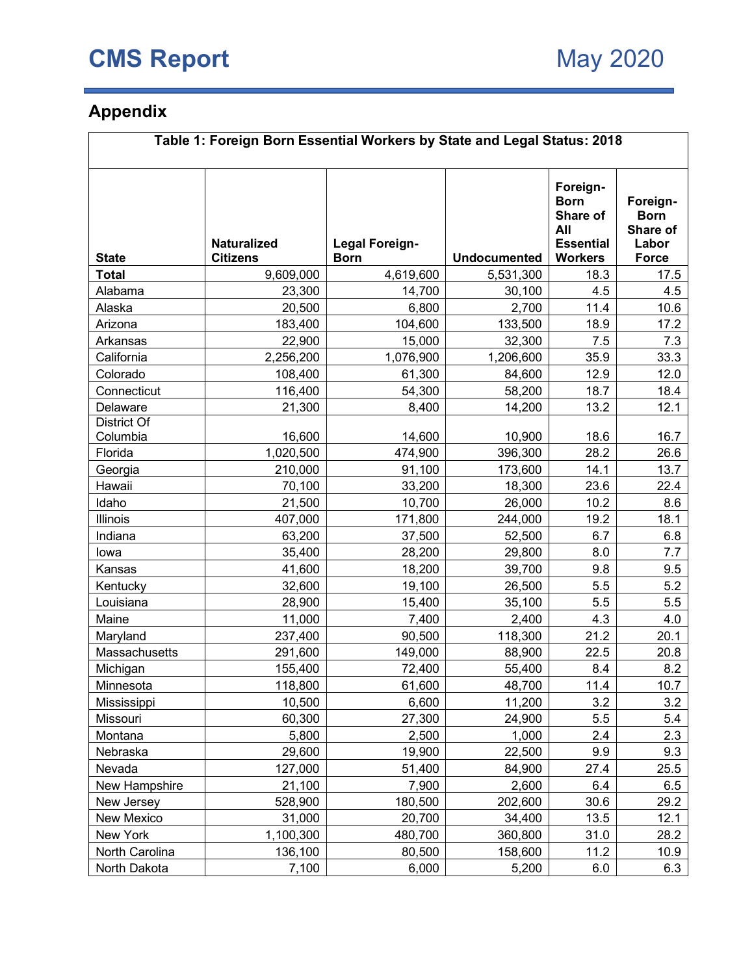## **Appendix**

| Table 1: Foreign Born Essential Workers by State and Legal Status: 2018 |                                       |                                      |                     |                                                                                  |                                                              |  |  |  |  |
|-------------------------------------------------------------------------|---------------------------------------|--------------------------------------|---------------------|----------------------------------------------------------------------------------|--------------------------------------------------------------|--|--|--|--|
| <b>State</b>                                                            | <b>Naturalized</b><br><b>Citizens</b> | <b>Legal Foreign-</b><br><b>Born</b> | <b>Undocumented</b> | Foreign-<br><b>Born</b><br>Share of<br>All<br><b>Essential</b><br><b>Workers</b> | Foreign-<br><b>Born</b><br>Share of<br>Labor<br><b>Force</b> |  |  |  |  |
| <b>Total</b>                                                            | 9,609,000                             | 4,619,600                            | 5,531,300           | 18.3                                                                             | 17.5                                                         |  |  |  |  |
| Alabama                                                                 | 23,300                                | 14,700                               | 30,100              | 4.5                                                                              | 4.5                                                          |  |  |  |  |
| Alaska                                                                  | 20,500                                | 6,800                                | 2,700               | 11.4                                                                             | 10.6                                                         |  |  |  |  |
| Arizona                                                                 | 183,400                               | 104,600                              | 133,500             | 18.9                                                                             | 17.2                                                         |  |  |  |  |
| Arkansas                                                                | 22,900                                | 15,000                               | 32,300              | 7.5                                                                              | 7.3                                                          |  |  |  |  |
| California                                                              | 2,256,200                             | 1,076,900                            | 1,206,600           | 35.9                                                                             | 33.3                                                         |  |  |  |  |
| Colorado                                                                | 108,400                               | 61,300                               | 84,600              | 12.9                                                                             | 12.0                                                         |  |  |  |  |
| Connecticut                                                             | 116,400                               | 54,300                               | 58,200              | 18.7                                                                             | 18.4                                                         |  |  |  |  |
| Delaware                                                                | 21,300                                | 8,400                                | 14,200              | 13.2                                                                             | 12.1                                                         |  |  |  |  |
| <b>District Of</b><br>Columbia                                          | 16,600                                | 14,600                               | 10,900              | 18.6                                                                             | 16.7                                                         |  |  |  |  |
| Florida                                                                 | 1,020,500                             | 474,900                              | 396,300             | 28.2                                                                             | 26.6                                                         |  |  |  |  |
| Georgia                                                                 | 210,000                               | 91,100                               | 173,600             | 14.1                                                                             | 13.7                                                         |  |  |  |  |
| Hawaii                                                                  | 70,100                                | 33,200                               | 18,300              | 23.6                                                                             | 22.4                                                         |  |  |  |  |
| Idaho                                                                   | 21,500                                | 10,700                               | 26,000              | 10.2                                                                             | 8.6                                                          |  |  |  |  |
| <b>Illinois</b>                                                         | 407,000                               | 171,800                              | 244,000             | 19.2                                                                             | 18.1                                                         |  |  |  |  |
| Indiana                                                                 | 63,200                                | 37,500                               | 52,500              | 6.7                                                                              | 6.8                                                          |  |  |  |  |
| lowa                                                                    | 35,400                                | 28,200                               | 29,800              | 8.0                                                                              | 7.7                                                          |  |  |  |  |
| Kansas                                                                  | 41,600                                | 18,200                               | 39,700              | 9.8                                                                              | 9.5                                                          |  |  |  |  |
| Kentucky                                                                | 32,600                                | 19,100                               | 26,500              | 5.5                                                                              | 5.2                                                          |  |  |  |  |
| Louisiana                                                               | 28,900                                | 15,400                               | 35,100              | 5.5                                                                              | 5.5                                                          |  |  |  |  |
| Maine                                                                   | 11,000                                | 7,400                                | 2,400               | 4.3                                                                              | 4.0                                                          |  |  |  |  |
| Maryland                                                                | 237,400                               | 90,500                               | 118,300             | 21.2                                                                             | 20.1                                                         |  |  |  |  |
| Massachusetts                                                           | 291,600                               | 149,000                              | 88,900              | 22.5                                                                             | 20.8                                                         |  |  |  |  |
| Michigan                                                                | 155,400                               | 72,400                               | 55,400              | 8.4                                                                              | 8.2                                                          |  |  |  |  |
| Minnesota                                                               | 118,800                               | 61,600                               | 48,700              | 11.4                                                                             | 10.7                                                         |  |  |  |  |
| Mississippi                                                             | 10,500                                | 6,600                                | 11,200              | 3.2                                                                              | 3.2                                                          |  |  |  |  |
| Missouri                                                                | 60,300                                | 27,300                               | 24,900              | 5.5                                                                              | 5.4                                                          |  |  |  |  |
| Montana                                                                 | 5,800                                 | 2,500                                | 1,000               | 2.4                                                                              | 2.3                                                          |  |  |  |  |
| Nebraska                                                                | 29,600                                | 19,900                               | 22,500              | 9.9                                                                              | 9.3                                                          |  |  |  |  |
| Nevada                                                                  | 127,000                               | 51,400                               | 84,900              | 27.4                                                                             | 25.5                                                         |  |  |  |  |
| New Hampshire                                                           | 21,100                                | 7,900                                | 2,600               | 6.4                                                                              | 6.5                                                          |  |  |  |  |
| New Jersey                                                              | 528,900                               | 180,500                              | 202,600             | 30.6                                                                             | 29.2                                                         |  |  |  |  |
| New Mexico                                                              | 31,000                                | 20,700                               | 34,400              | 13.5                                                                             | 12.1                                                         |  |  |  |  |
| New York                                                                | 1,100,300                             | 480,700                              | 360,800             | 31.0                                                                             | 28.2                                                         |  |  |  |  |
| North Carolina                                                          | 136,100                               | 80,500                               | 158,600             | 11.2                                                                             | 10.9                                                         |  |  |  |  |
| North Dakota                                                            | 7,100                                 | 6,000                                | 5,200               | 6.0                                                                              | 6.3                                                          |  |  |  |  |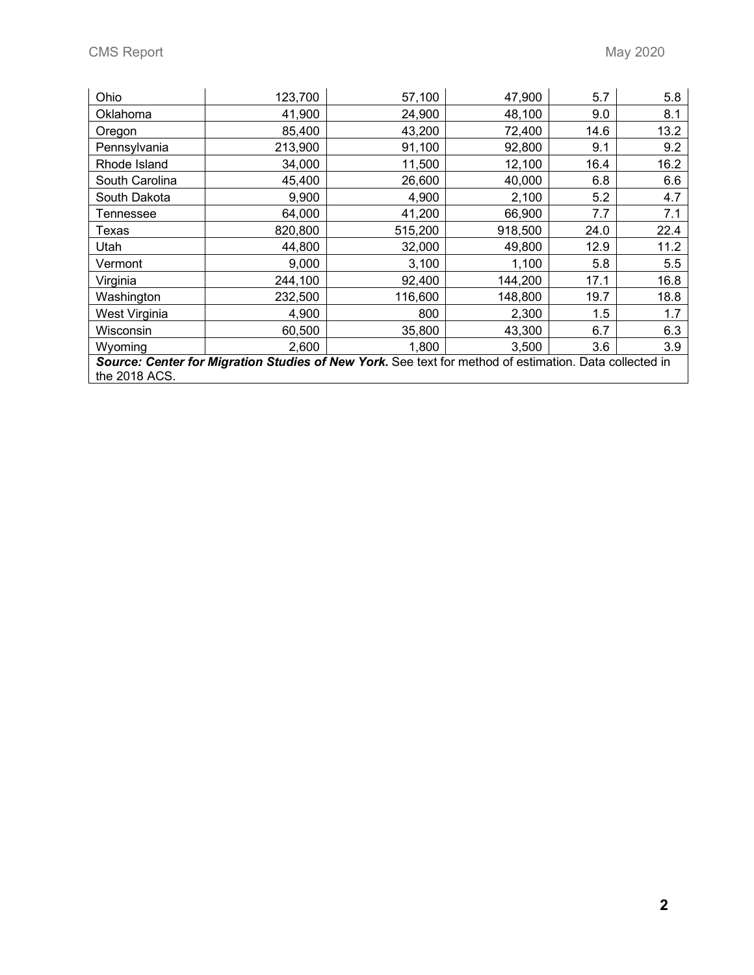| Ohio                                                                                                                    | 123,700 | 57,100  | 47,900  | 5.7  | 5.8  |  |  |  |  |
|-------------------------------------------------------------------------------------------------------------------------|---------|---------|---------|------|------|--|--|--|--|
| Oklahoma                                                                                                                | 41,900  | 24,900  | 48,100  | 9.0  | 8.1  |  |  |  |  |
| Oregon                                                                                                                  | 85,400  | 43,200  | 72,400  | 14.6 | 13.2 |  |  |  |  |
| Pennsylvania                                                                                                            | 213,900 | 91,100  | 92,800  | 9.1  | 9.2  |  |  |  |  |
| Rhode Island                                                                                                            | 34,000  | 11,500  | 12,100  | 16.4 | 16.2 |  |  |  |  |
| South Carolina                                                                                                          | 45,400  | 26,600  | 40,000  | 6.8  | 6.6  |  |  |  |  |
| South Dakota                                                                                                            | 9,900   | 4,900   | 2,100   | 5.2  | 4.7  |  |  |  |  |
| Tennessee                                                                                                               | 64,000  | 41,200  | 66,900  | 7.7  | 7.1  |  |  |  |  |
| Texas                                                                                                                   | 820,800 | 515,200 | 918,500 | 24.0 | 22.4 |  |  |  |  |
| Utah                                                                                                                    | 44,800  | 32,000  | 49,800  | 12.9 | 11.2 |  |  |  |  |
| Vermont                                                                                                                 | 9,000   | 3,100   | 1,100   | 5.8  | 5.5  |  |  |  |  |
| Virginia                                                                                                                | 244,100 | 92,400  | 144,200 | 17.1 | 16.8 |  |  |  |  |
| Washington                                                                                                              | 232,500 | 116,600 | 148,800 | 19.7 | 18.8 |  |  |  |  |
| West Virginia                                                                                                           | 4,900   | 800     | 2,300   | 1.5  | 1.7  |  |  |  |  |
| Wisconsin                                                                                                               | 60,500  | 35,800  | 43,300  | 6.7  | 6.3  |  |  |  |  |
| Wyoming                                                                                                                 | 2,600   | 1,800   | 3,500   | 3.6  | 3.9  |  |  |  |  |
| Source: Center for Migration Studies of New York. See text for method of estimation. Data collected in<br>the 2018 ACS. |         |         |         |      |      |  |  |  |  |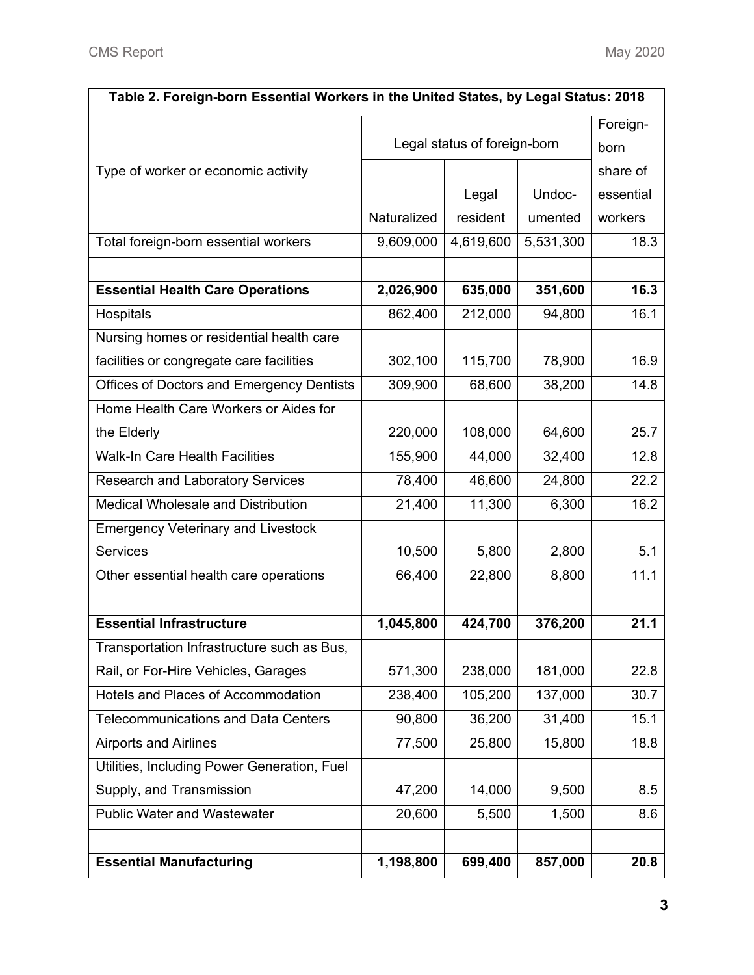| Table 2. Foreign-born Essential Workers in the United States, by Legal Status: 2018 |             |                              |           |           |  |  |  |  |  |  |
|-------------------------------------------------------------------------------------|-------------|------------------------------|-----------|-----------|--|--|--|--|--|--|
|                                                                                     |             |                              | Foreign-  |           |  |  |  |  |  |  |
|                                                                                     |             | Legal status of foreign-born |           | born      |  |  |  |  |  |  |
| Type of worker or economic activity                                                 |             |                              |           | share of  |  |  |  |  |  |  |
|                                                                                     |             | Legal                        | Undoc-    | essential |  |  |  |  |  |  |
|                                                                                     | Naturalized | resident                     | umented   | workers   |  |  |  |  |  |  |
| Total foreign-born essential workers                                                | 9,609,000   | 4,619,600                    | 5,531,300 | 18.3      |  |  |  |  |  |  |
|                                                                                     |             |                              |           |           |  |  |  |  |  |  |
| <b>Essential Health Care Operations</b>                                             | 2,026,900   | 635,000                      | 351,600   | 16.3      |  |  |  |  |  |  |
| Hospitals                                                                           | 862,400     | 212,000                      | 94,800    | 16.1      |  |  |  |  |  |  |
| Nursing homes or residential health care                                            |             |                              |           |           |  |  |  |  |  |  |
| facilities or congregate care facilities                                            | 302,100     | 115,700                      | 78,900    | 16.9      |  |  |  |  |  |  |
| Offices of Doctors and Emergency Dentists                                           | 309,900     | 68,600                       | 38,200    | 14.8      |  |  |  |  |  |  |
| Home Health Care Workers or Aides for                                               |             |                              |           |           |  |  |  |  |  |  |
| the Elderly                                                                         | 220,000     | 108,000                      | 64,600    | 25.7      |  |  |  |  |  |  |
| <b>Walk-In Care Health Facilities</b>                                               | 155,900     | 44,000                       | 32,400    | 12.8      |  |  |  |  |  |  |
| <b>Research and Laboratory Services</b>                                             | 78,400      | 46,600                       | 24,800    | 22.2      |  |  |  |  |  |  |
| Medical Wholesale and Distribution                                                  | 21,400      | 11,300                       | 6,300     | 16.2      |  |  |  |  |  |  |
| <b>Emergency Veterinary and Livestock</b>                                           |             |                              |           |           |  |  |  |  |  |  |
| <b>Services</b>                                                                     | 10,500      | 5,800                        | 2,800     | 5.1       |  |  |  |  |  |  |
| Other essential health care operations                                              | 66,400      | 22,800                       | 8,800     | 11.1      |  |  |  |  |  |  |
|                                                                                     |             |                              |           |           |  |  |  |  |  |  |
| <b>Essential Infrastructure</b>                                                     | 1,045,800   | 424,700                      | 376,200   | 21.1      |  |  |  |  |  |  |
| Transportation Infrastructure such as Bus,                                          |             |                              |           |           |  |  |  |  |  |  |
| Rail, or For-Hire Vehicles, Garages                                                 | 571,300     | 238,000                      | 181,000   | 22.8      |  |  |  |  |  |  |
| Hotels and Places of Accommodation                                                  | 238,400     | 105,200                      | 137,000   | 30.7      |  |  |  |  |  |  |
| <b>Telecommunications and Data Centers</b>                                          | 90,800      | 36,200                       | 31,400    | 15.1      |  |  |  |  |  |  |
| <b>Airports and Airlines</b>                                                        | 77,500      | 25,800                       | 15,800    | 18.8      |  |  |  |  |  |  |
| Utilities, Including Power Generation, Fuel                                         |             |                              |           |           |  |  |  |  |  |  |
| Supply, and Transmission                                                            | 47,200      | 14,000                       | 9,500     | 8.5       |  |  |  |  |  |  |
| <b>Public Water and Wastewater</b>                                                  | 20,600      | 5,500                        | 1,500     | 8.6       |  |  |  |  |  |  |
|                                                                                     |             |                              |           |           |  |  |  |  |  |  |
| <b>Essential Manufacturing</b>                                                      | 1,198,800   | 699,400                      | 857,000   | 20.8      |  |  |  |  |  |  |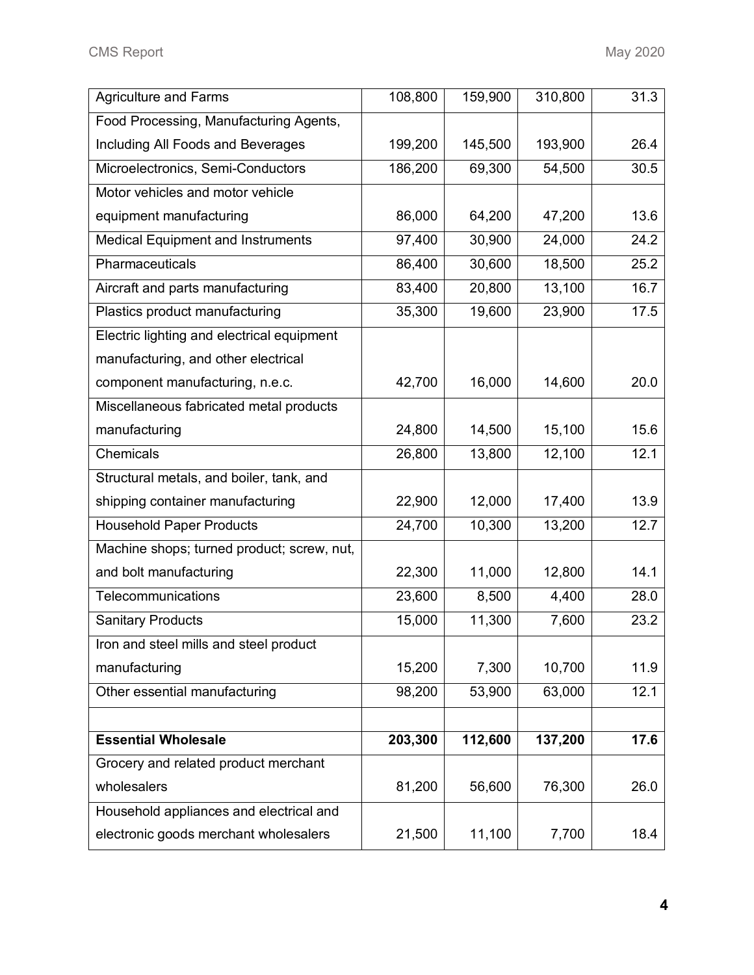| Agriculture and Farms                      | 108,800 | 159,900 | 310,800 | 31.3 |
|--------------------------------------------|---------|---------|---------|------|
| Food Processing, Manufacturing Agents,     |         |         |         |      |
| Including All Foods and Beverages          | 199,200 | 145,500 | 193,900 | 26.4 |
| Microelectronics, Semi-Conductors          | 186,200 | 69,300  | 54,500  | 30.5 |
| Motor vehicles and motor vehicle           |         |         |         |      |
| equipment manufacturing                    | 86,000  | 64,200  | 47,200  | 13.6 |
| Medical Equipment and Instruments          | 97,400  | 30,900  | 24,000  | 24.2 |
| Pharmaceuticals                            | 86,400  | 30,600  | 18,500  | 25.2 |
| Aircraft and parts manufacturing           | 83,400  | 20,800  | 13,100  | 16.7 |
| Plastics product manufacturing             | 35,300  | 19,600  | 23,900  | 17.5 |
| Electric lighting and electrical equipment |         |         |         |      |
| manufacturing, and other electrical        |         |         |         |      |
| component manufacturing, n.e.c.            | 42,700  | 16,000  | 14,600  | 20.0 |
| Miscellaneous fabricated metal products    |         |         |         |      |
| manufacturing                              | 24,800  | 14,500  | 15,100  | 15.6 |
| Chemicals                                  | 26,800  | 13,800  | 12,100  | 12.1 |
| Structural metals, and boiler, tank, and   |         |         |         |      |
| shipping container manufacturing           | 22,900  | 12,000  | 17,400  | 13.9 |
| <b>Household Paper Products</b>            | 24,700  | 10,300  | 13,200  | 12.7 |
| Machine shops; turned product; screw, nut, |         |         |         |      |
| and bolt manufacturing                     | 22,300  | 11,000  | 12,800  | 14.1 |
| Telecommunications                         | 23,600  | 8,500   | 4,400   | 28.0 |
| <b>Sanitary Products</b>                   | 15,000  | 11,300  | 7,600   | 23.2 |
| Iron and steel mills and steel product     |         |         |         |      |
| manufacturing                              | 15,200  | 7,300   | 10,700  | 11.9 |
| Other essential manufacturing              | 98,200  | 53,900  | 63,000  | 12.1 |
|                                            |         |         |         |      |
| <b>Essential Wholesale</b>                 | 203,300 | 112,600 | 137,200 | 17.6 |
| Grocery and related product merchant       |         |         |         |      |
| wholesalers                                | 81,200  | 56,600  | 76,300  | 26.0 |
| Household appliances and electrical and    |         |         |         |      |
| electronic goods merchant wholesalers      | 21,500  | 11,100  | 7,700   | 18.4 |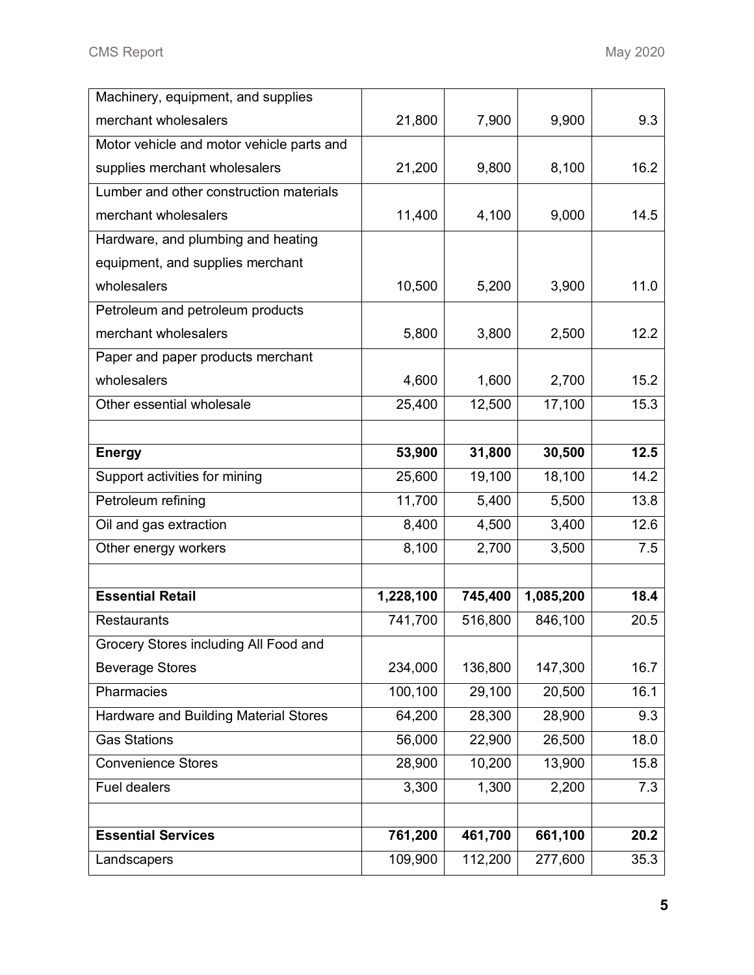| Machinery, equipment, and supplies        |                    |                    |                    |              |
|-------------------------------------------|--------------------|--------------------|--------------------|--------------|
| merchant wholesalers                      | 21,800             | 7,900              | 9,900              | 9.3          |
| Motor vehicle and motor vehicle parts and |                    |                    |                    |              |
| supplies merchant wholesalers             | 21,200             | 9,800              | 8,100              | 16.2         |
| Lumber and other construction materials   |                    |                    |                    |              |
| merchant wholesalers                      | 11,400             | 4,100              | 9,000              | 14.5         |
| Hardware, and plumbing and heating        |                    |                    |                    |              |
| equipment, and supplies merchant          |                    |                    |                    |              |
| wholesalers                               | 10,500             | 5,200              | 3,900              | 11.0         |
| Petroleum and petroleum products          |                    |                    |                    |              |
| merchant wholesalers                      | 5,800              | 3,800              | 2,500              | 12.2         |
| Paper and paper products merchant         |                    |                    |                    |              |
| wholesalers                               | 4,600              | 1,600              | 2,700              | 15.2         |
| Other essential wholesale                 | 25,400             | 12,500             | 17,100             | 15.3         |
|                                           |                    |                    |                    |              |
| <b>Energy</b>                             | 53,900             | 31,800             | 30,500             | 12.5         |
| Support activities for mining             | 25,600             | 19,100             | 18,100             | 14.2         |
| Petroleum refining                        | 11,700             | 5,400              | 5,500              | 13.8         |
| Oil and gas extraction                    | 8,400              | 4,500              | 3,400              | 12.6         |
|                                           |                    |                    |                    |              |
| Other energy workers                      | 8,100              | 2,700              | 3,500              | 7.5          |
|                                           |                    |                    |                    |              |
| <b>Essential Retail</b>                   | 1,228,100          | 745,400            | 1,085,200          | 18.4         |
| <b>Restaurants</b>                        | 741,700            | 516,800            | 846,100            | 20.5         |
| Grocery Stores including All Food and     |                    |                    |                    |              |
| <b>Beverage Stores</b>                    | 234,000            | 136,800            | 147,300            | 16.7         |
| Pharmacies                                | 100,100            | 29,100             | 20,500             | 16.1         |
| Hardware and Building Material Stores     | 64,200             | 28,300             | 28,900             | 9.3          |
| <b>Gas Stations</b>                       | 56,000             | 22,900             | 26,500             | 18.0         |
| <b>Convenience Stores</b>                 | 28,900             | 10,200             | 13,900             | 15.8         |
| <b>Fuel dealers</b>                       | 3,300              | 1,300              | 2,200              | 7.3          |
|                                           |                    |                    |                    |              |
| <b>Essential Services</b>                 | 761,200<br>109,900 | 461,700<br>112,200 | 661,100<br>277,600 | 20.2<br>35.3 |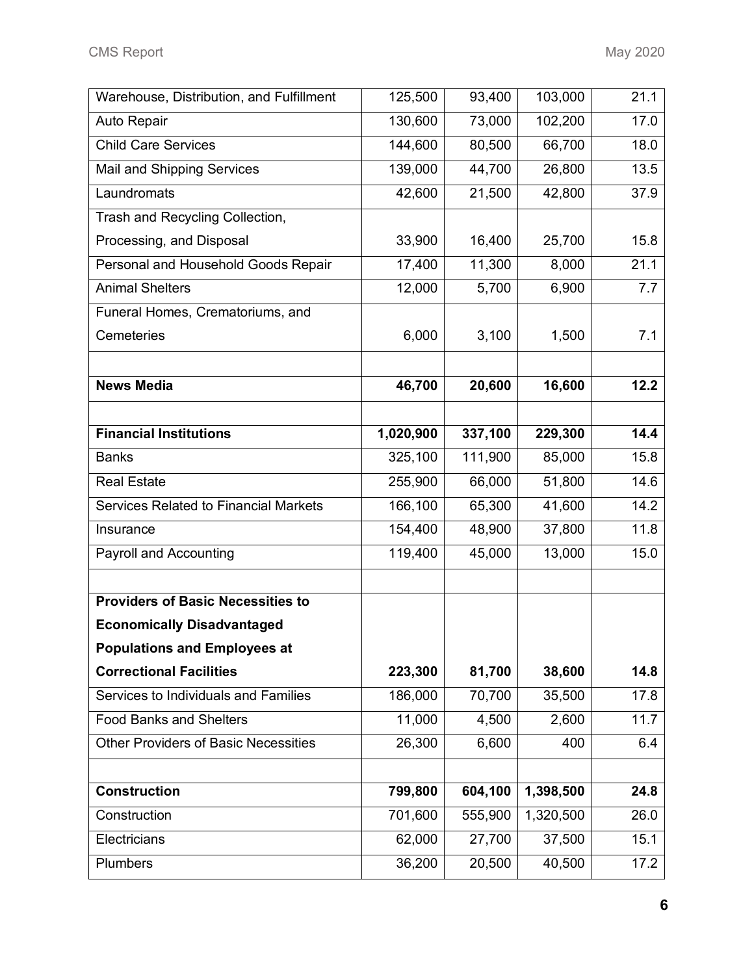| Warehouse, Distribution, and Fulfillment    | 125,500   | 93,400  | 103,000   | 21.1 |
|---------------------------------------------|-----------|---------|-----------|------|
| Auto Repair                                 | 130,600   | 73,000  | 102,200   | 17.0 |
| <b>Child Care Services</b>                  | 144,600   | 80,500  | 66,700    | 18.0 |
| Mail and Shipping Services                  | 139,000   | 44,700  | 26,800    | 13.5 |
| Laundromats                                 | 42,600    | 21,500  | 42,800    | 37.9 |
| Trash and Recycling Collection,             |           |         |           |      |
| Processing, and Disposal                    | 33,900    | 16,400  | 25,700    | 15.8 |
| Personal and Household Goods Repair         | 17,400    | 11,300  | 8,000     | 21.1 |
| <b>Animal Shelters</b>                      | 12,000    | 5,700   | 6,900     | 7.7  |
| Funeral Homes, Crematoriums, and            |           |         |           |      |
| Cemeteries                                  | 6,000     | 3,100   | 1,500     | 7.1  |
|                                             |           |         |           |      |
| <b>News Media</b>                           | 46,700    | 20,600  | 16,600    | 12.2 |
|                                             |           |         |           |      |
| <b>Financial Institutions</b>               | 1,020,900 | 337,100 | 229,300   | 14.4 |
| <b>Banks</b>                                | 325,100   | 111,900 | 85,000    | 15.8 |
| <b>Real Estate</b>                          | 255,900   | 66,000  | 51,800    | 14.6 |
| Services Related to Financial Markets       | 166,100   | 65,300  | 41,600    | 14.2 |
| Insurance                                   | 154,400   | 48,900  | 37,800    | 11.8 |
| <b>Payroll and Accounting</b>               | 119,400   | 45,000  | 13,000    | 15.0 |
|                                             |           |         |           |      |
| <b>Providers of Basic Necessities to</b>    |           |         |           |      |
| <b>Economically Disadvantaged</b>           |           |         |           |      |
| <b>Populations and Employees at</b>         |           |         |           |      |
| <b>Correctional Facilities</b>              | 223,300   | 81,700  | 38,600    | 14.8 |
| Services to Individuals and Families        | 186,000   | 70,700  | 35,500    | 17.8 |
| <b>Food Banks and Shelters</b>              | 11,000    | 4,500   | 2,600     | 11.7 |
| <b>Other Providers of Basic Necessities</b> | 26,300    | 6,600   | 400       | 6.4  |
|                                             |           |         |           |      |
| <b>Construction</b>                         | 799,800   | 604,100 | 1,398,500 | 24.8 |
| Construction                                | 701,600   | 555,900 | 1,320,500 | 26.0 |
| Electricians                                | 62,000    | 27,700  | 37,500    | 15.1 |
| Plumbers                                    | 36,200    | 20,500  | 40,500    | 17.2 |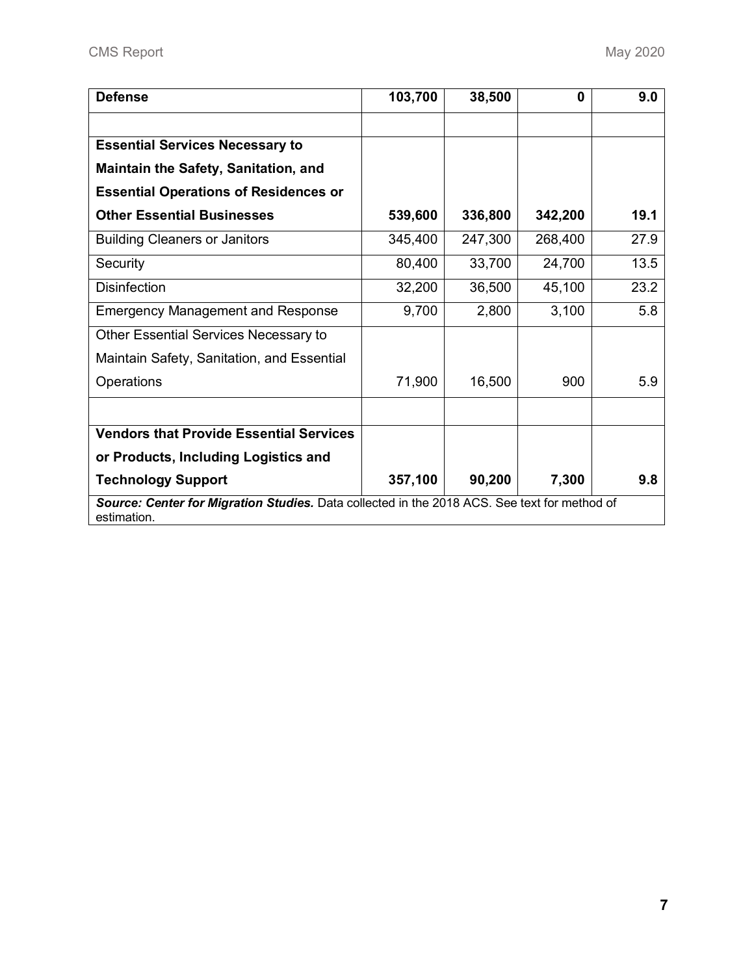| <b>Defense</b>                                                                                              | 103,700 | 38,500  | $\bf{0}$ | 9.0  |
|-------------------------------------------------------------------------------------------------------------|---------|---------|----------|------|
|                                                                                                             |         |         |          |      |
| <b>Essential Services Necessary to</b>                                                                      |         |         |          |      |
| <b>Maintain the Safety, Sanitation, and</b>                                                                 |         |         |          |      |
| <b>Essential Operations of Residences or</b>                                                                |         |         |          |      |
| <b>Other Essential Businesses</b>                                                                           | 539,600 | 336,800 | 342,200  | 19.1 |
| <b>Building Cleaners or Janitors</b>                                                                        | 345,400 | 247,300 | 268,400  | 27.9 |
| Security                                                                                                    | 80,400  | 33,700  | 24,700   | 13.5 |
| <b>Disinfection</b>                                                                                         | 32,200  | 36,500  | 45,100   | 23.2 |
| <b>Emergency Management and Response</b>                                                                    | 9,700   | 2,800   | 3,100    | 5.8  |
| Other Essential Services Necessary to                                                                       |         |         |          |      |
| Maintain Safety, Sanitation, and Essential                                                                  |         |         |          |      |
| Operations                                                                                                  | 71,900  | 16,500  | 900      | 5.9  |
|                                                                                                             |         |         |          |      |
| <b>Vendors that Provide Essential Services</b>                                                              |         |         |          |      |
| or Products, Including Logistics and                                                                        |         |         |          |      |
| <b>Technology Support</b>                                                                                   | 357,100 | 90,200  | 7,300    | 9.8  |
| Source: Center for Migration Studies. Data collected in the 2018 ACS. See text for method of<br>estimation. |         |         |          |      |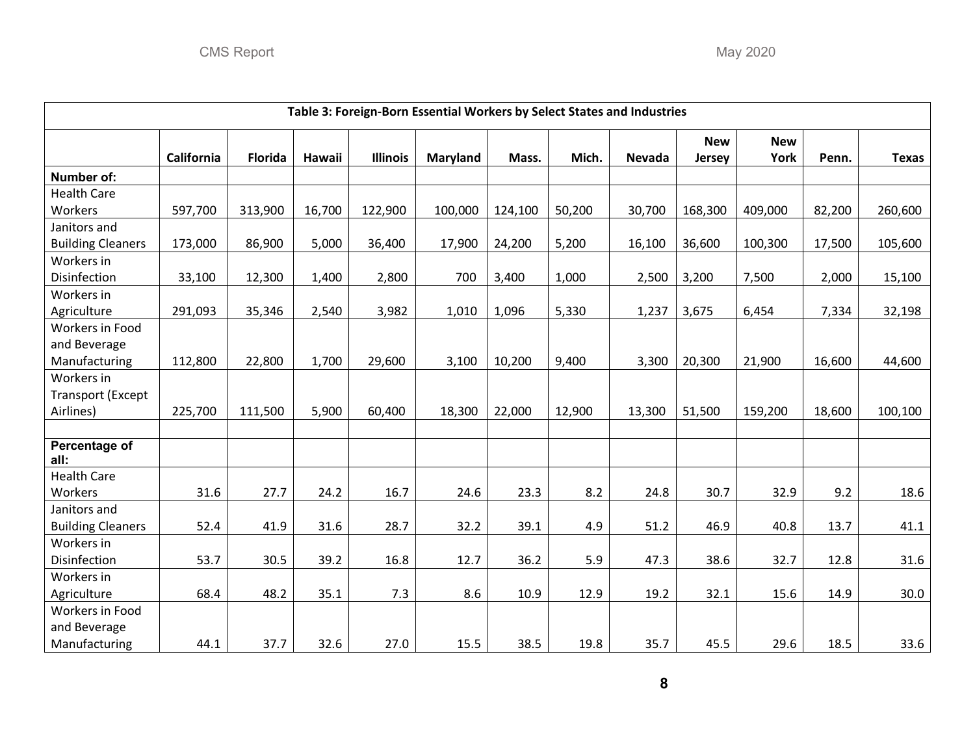| Table 3: Foreign-Born Essential Workers by Select States and Industries |                   |                |        |                 |                 |         |        |               |            |            |        |              |
|-------------------------------------------------------------------------|-------------------|----------------|--------|-----------------|-----------------|---------|--------|---------------|------------|------------|--------|--------------|
|                                                                         |                   |                |        |                 |                 |         |        |               | <b>New</b> | <b>New</b> |        |              |
|                                                                         | <b>California</b> | <b>Florida</b> | Hawaii | <b>Illinois</b> | <b>Maryland</b> | Mass.   | Mich.  | <b>Nevada</b> | Jersey     | York       | Penn.  | <b>Texas</b> |
| Number of:                                                              |                   |                |        |                 |                 |         |        |               |            |            |        |              |
| <b>Health Care</b>                                                      |                   |                |        |                 |                 |         |        |               |            |            |        |              |
| Workers                                                                 | 597,700           | 313,900        | 16,700 | 122,900         | 100,000         | 124,100 | 50,200 | 30,700        | 168,300    | 409,000    | 82,200 | 260,600      |
| Janitors and                                                            |                   |                |        |                 |                 |         |        |               |            |            |        |              |
| <b>Building Cleaners</b>                                                | 173,000           | 86,900         | 5,000  | 36,400          | 17,900          | 24,200  | 5,200  | 16,100        | 36,600     | 100,300    | 17,500 | 105,600      |
| Workers in                                                              |                   |                |        |                 |                 |         |        |               |            |            |        |              |
| Disinfection                                                            | 33,100            | 12,300         | 1,400  | 2,800           | 700             | 3,400   | 1,000  | 2,500         | 3,200      | 7,500      | 2,000  | 15,100       |
| Workers in                                                              |                   |                |        |                 |                 |         |        |               |            |            |        |              |
| Agriculture                                                             | 291,093           | 35,346         | 2,540  | 3,982           | 1,010           | 1,096   | 5,330  | 1,237         | 3,675      | 6,454      | 7,334  | 32,198       |
| Workers in Food                                                         |                   |                |        |                 |                 |         |        |               |            |            |        |              |
| and Beverage                                                            |                   |                |        |                 |                 |         |        |               |            |            |        |              |
| Manufacturing                                                           | 112,800           | 22,800         | 1,700  | 29,600          | 3,100           | 10,200  | 9,400  | 3,300         | 20,300     | 21,900     | 16,600 | 44,600       |
| Workers in                                                              |                   |                |        |                 |                 |         |        |               |            |            |        |              |
| <b>Transport (Except</b>                                                |                   |                |        |                 |                 |         |        |               |            |            |        |              |
| Airlines)                                                               | 225,700           | 111,500        | 5,900  | 60,400          | 18,300          | 22,000  | 12,900 | 13,300        | 51,500     | 159,200    | 18,600 | 100,100      |
|                                                                         |                   |                |        |                 |                 |         |        |               |            |            |        |              |
| Percentage of<br>all:                                                   |                   |                |        |                 |                 |         |        |               |            |            |        |              |
| <b>Health Care</b>                                                      |                   |                |        |                 |                 |         |        |               |            |            |        |              |
| Workers                                                                 | 31.6              | 27.7           | 24.2   | 16.7            | 24.6            | 23.3    | 8.2    | 24.8          | 30.7       | 32.9       | 9.2    | 18.6         |
| Janitors and                                                            |                   |                |        |                 |                 |         |        |               |            |            |        |              |
| <b>Building Cleaners</b>                                                | 52.4              | 41.9           | 31.6   | 28.7            | 32.2            | 39.1    | 4.9    | 51.2          | 46.9       | 40.8       | 13.7   | 41.1         |
| Workers in                                                              |                   |                |        |                 |                 |         |        |               |            |            |        |              |
| Disinfection                                                            | 53.7              | 30.5           | 39.2   | 16.8            | 12.7            | 36.2    | 5.9    | 47.3          | 38.6       | 32.7       | 12.8   | 31.6         |
| Workers in                                                              |                   |                |        |                 |                 |         |        |               |            |            |        |              |
| Agriculture                                                             | 68.4              | 48.2           | 35.1   | 7.3             | 8.6             | 10.9    | 12.9   | 19.2          | 32.1       | 15.6       | 14.9   | 30.0         |
| Workers in Food                                                         |                   |                |        |                 |                 |         |        |               |            |            |        |              |
| and Beverage                                                            |                   |                |        |                 |                 |         |        |               |            |            |        |              |
| Manufacturing                                                           | 44.1              | 37.7           | 32.6   | 27.0            | 15.5            | 38.5    | 19.8   | 35.7          | 45.5       | 29.6       | 18.5   | 33.6         |